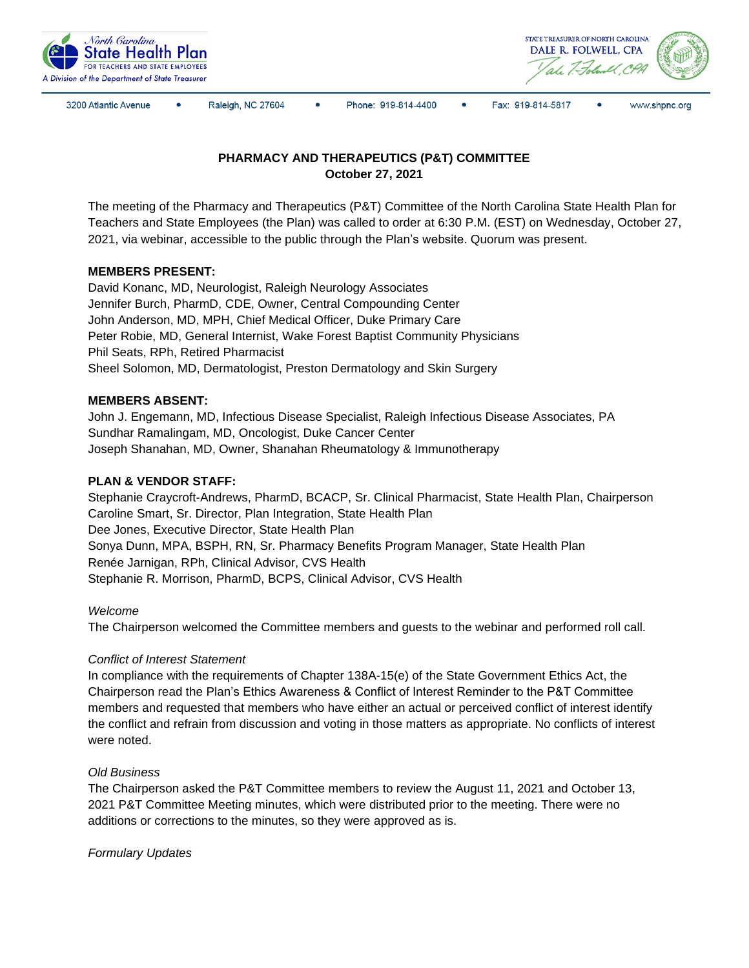



3200 Atlantic Avenue

Raleigh, NC 27604

Phone: 919-814-4400

 $\bullet$ Fax: 919-814-5817



# **PHARMACY AND THERAPEUTICS (P&T) COMMITTEE October 27, 2021**

The meeting of the Pharmacy and Therapeutics (P&T) Committee of the North Carolina State Health Plan for Teachers and State Employees (the Plan) was called to order at 6:30 P.M. (EST) on Wednesday, October 27, 2021, via webinar, accessible to the public through the Plan's website. Quorum was present.

## **MEMBERS PRESENT:**

David Konanc, MD, Neurologist, Raleigh Neurology Associates Jennifer Burch, PharmD, CDE, Owner, Central Compounding Center John Anderson, MD, MPH, Chief Medical Officer, Duke Primary Care Peter Robie, MD, General Internist, Wake Forest Baptist Community Physicians Phil Seats, RPh, Retired Pharmacist Sheel Solomon, MD, Dermatologist, Preston Dermatology and Skin Surgery

#### **MEMBERS ABSENT:**

John J. Engemann, MD, Infectious Disease Specialist, Raleigh Infectious Disease Associates, PA Sundhar Ramalingam, MD, Oncologist, Duke Cancer Center Joseph Shanahan, MD, Owner, Shanahan Rheumatology & Immunotherapy

## **PLAN & VENDOR STAFF:**

Stephanie Craycroft-Andrews, PharmD, BCACP, Sr. Clinical Pharmacist, State Health Plan, Chairperson Caroline Smart, Sr. Director, Plan Integration, State Health Plan Dee Jones, Executive Director, State Health Plan Sonya Dunn, MPA, BSPH, RN, Sr. Pharmacy Benefits Program Manager, State Health Plan Renée Jarnigan, RPh, Clinical Advisor, CVS Health Stephanie R. Morrison, PharmD, BCPS, Clinical Advisor, CVS Health

#### *Welcome*

The Chairperson welcomed the Committee members and guests to the webinar and performed roll call.

## *Conflict of Interest Statement*

In compliance with the requirements of Chapter 138A-15(e) of the State Government Ethics Act, the Chairperson read the Plan's Ethics Awareness & Conflict of Interest Reminder to the P&T Committee members and requested that members who have either an actual or perceived conflict of interest identify the conflict and refrain from discussion and voting in those matters as appropriate. No conflicts of interest were noted.

#### *Old Business*

The Chairperson asked the P&T Committee members to review the August 11, 2021 and October 13, 2021 P&T Committee Meeting minutes, which were distributed prior to the meeting. There were no additions or corrections to the minutes, so they were approved as is.

*Formulary Updates*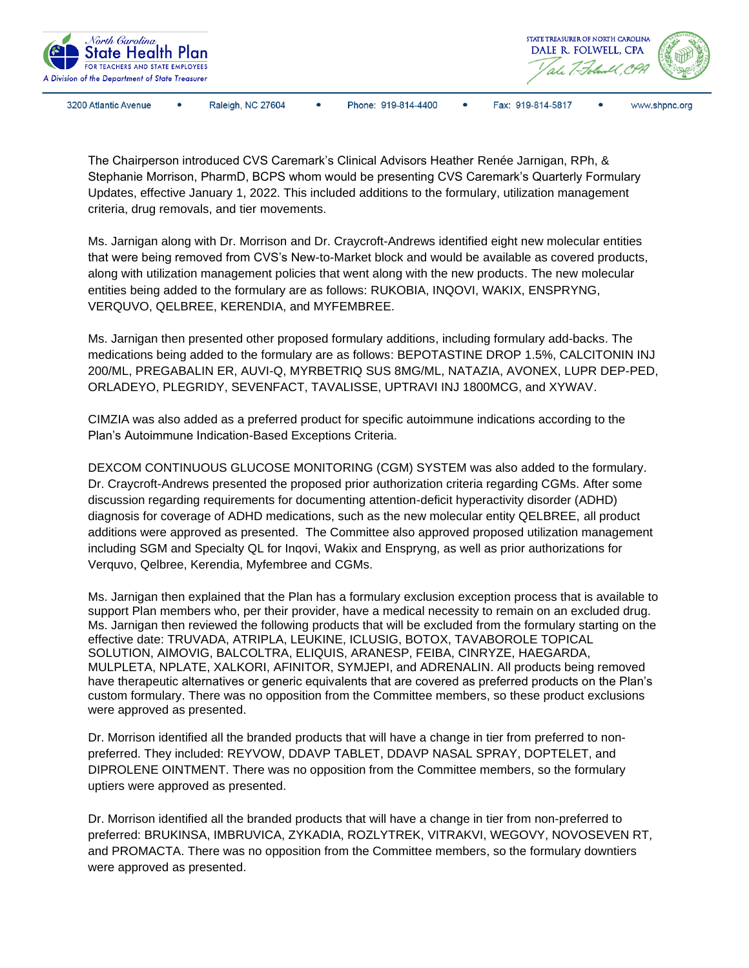

The Chairperson introduced CVS Caremark's Clinical Advisors Heather Renée Jarnigan, RPh, & Stephanie Morrison, PharmD, BCPS whom would be presenting CVS Caremark's Quarterly Formulary Updates, effective January 1, 2022. This included additions to the formulary, utilization management criteria, drug removals, and tier movements.

Ms. Jarnigan along with Dr. Morrison and Dr. Craycroft-Andrews identified eight new molecular entities that were being removed from CVS's New-to-Market block and would be available as covered products, along with utilization management policies that went along with the new products. The new molecular entities being added to the formulary are as follows: RUKOBIA, INQOVI, WAKIX, ENSPRYNG, VERQUVO, QELBREE, KERENDIA, and MYFEMBREE.

Ms. Jarnigan then presented other proposed formulary additions, including formulary add-backs. The medications being added to the formulary are as follows: BEPOTASTINE DROP 1.5%, CALCITONIN INJ 200/ML, PREGABALIN ER, AUVI-Q, MYRBETRIQ SUS 8MG/ML, NATAZIA, AVONEX, LUPR DEP-PED, ORLADEYO, PLEGRIDY, SEVENFACT, TAVALISSE, UPTRAVI INJ 1800MCG, and XYWAV.

CIMZIA was also added as a preferred product for specific autoimmune indications according to the Plan's Autoimmune Indication-Based Exceptions Criteria.

DEXCOM CONTINUOUS GLUCOSE MONITORING (CGM) SYSTEM was also added to the formulary. Dr. Craycroft-Andrews presented the proposed prior authorization criteria regarding CGMs. After some discussion regarding requirements for documenting attention-deficit hyperactivity disorder (ADHD) diagnosis for coverage of ADHD medications, such as the new molecular entity QELBREE, all product additions were approved as presented. The Committee also approved proposed utilization management including SGM and Specialty QL for Inqovi, Wakix and Enspryng, as well as prior authorizations for Verquvo, Qelbree, Kerendia, Myfembree and CGMs.

Ms. Jarnigan then explained that the Plan has a formulary exclusion exception process that is available to support Plan members who, per their provider, have a medical necessity to remain on an excluded drug. Ms. Jarnigan then reviewed the following products that will be excluded from the formulary starting on the effective date: TRUVADA, ATRIPLA, LEUKINE, ICLUSIG, BOTOX, TAVABOROLE TOPICAL SOLUTION, AIMOVIG, BALCOLTRA, ELIQUIS, ARANESP, FEIBA, CINRYZE, HAEGARDA, MULPLETA, NPLATE, XALKORI, AFINITOR, SYMJEPI, and ADRENALIN. All products being removed have therapeutic alternatives or generic equivalents that are covered as preferred products on the Plan's custom formulary. There was no opposition from the Committee members, so these product exclusions were approved as presented.

Dr. Morrison identified all the branded products that will have a change in tier from preferred to nonpreferred. They included: REYVOW, DDAVP TABLET, DDAVP NASAL SPRAY, DOPTELET, and DIPROLENE OINTMENT. There was no opposition from the Committee members, so the formulary uptiers were approved as presented.

Dr. Morrison identified all the branded products that will have a change in tier from non-preferred to preferred: BRUKINSA, IMBRUVICA, ZYKADIA, ROZLYTREK, VITRAKVI, WEGOVY, NOVOSEVEN RT, and PROMACTA. There was no opposition from the Committee members, so the formulary downtiers were approved as presented.